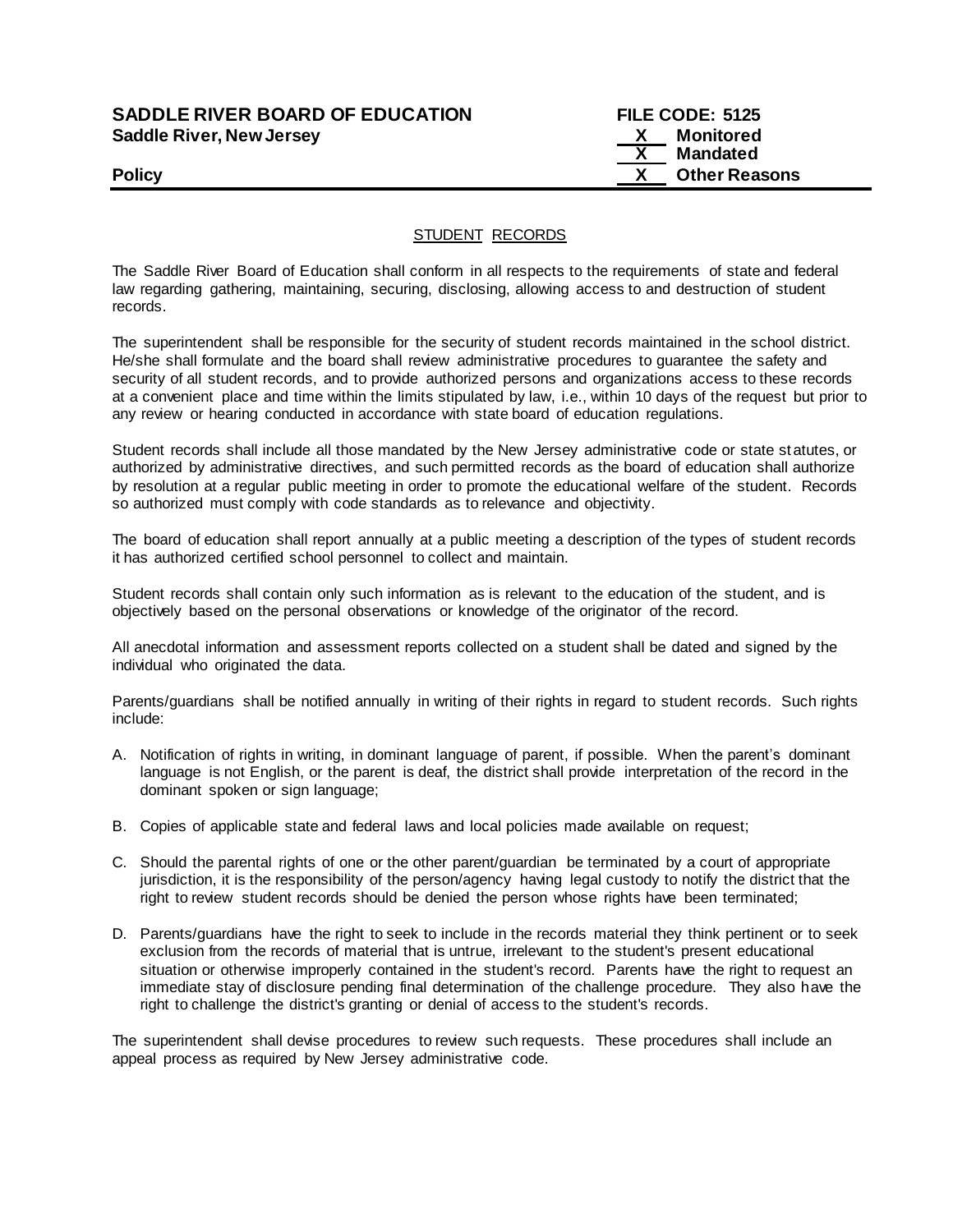# **SADDLE RIVER BOARD OF EDUCATION FILE CODE: 5125 Saddle River, New Jersey X Monitored**

 **X Mandated Policy X Other Reasons**

# STUDENT RECORDS

The Saddle River Board of Education shall conform in all respects to the requirements of state and federal law regarding gathering, maintaining, securing, disclosing, allowing access to and destruction of student records.

The superintendent shall be responsible for the security of student records maintained in the school district. He/she shall formulate and the board shall review administrative procedures to guarantee the safety and security of all student records, and to provide authorized persons and organizations access to these records at a convenient place and time within the limits stipulated by law, i.e., within 10 days of the request but prior to any review or hearing conducted in accordance with state board of education regulations.

Student records shall include all those mandated by the New Jersey administrative code or state statutes, or authorized by administrative directives, and such permitted records as the board of education shall authorize by resolution at a regular public meeting in order to promote the educational welfare of the student. Records so authorized must comply with code standards as to relevance and objectivity.

The board of education shall report annually at a public meeting a description of the types of student records it has authorized certified school personnel to collect and maintain.

Student records shall contain only such information as is relevant to the education of the student, and is objectively based on the personal observations or knowledge of the originator of the record.

All anecdotal information and assessment reports collected on a student shall be dated and signed by the individual who originated the data.

Parents/guardians shall be notified annually in writing of their rights in regard to student records. Such rights include:

- A. Notification of rights in writing, in dominant language of parent, if possible. When the parent's dominant language is not English, or the parent is deaf, the district shall provide interpretation of the record in the dominant spoken or sign language;
- B. Copies of applicable state and federal laws and local policies made available on request;
- C. Should the parental rights of one or the other parent/guardian be terminated by a court of appropriate jurisdiction, it is the responsibility of the person/agency having legal custody to notify the district that the right to review student records should be denied the person whose rights have been terminated;
- D. Parents/guardians have the right to seek to include in the records material they think pertinent or to seek exclusion from the records of material that is untrue, irrelevant to the student's present educational situation or otherwise improperly contained in the student's record. Parents have the right to request an immediate stay of disclosure pending final determination of the challenge procedure. They also have the right to challenge the district's granting or denial of access to the student's records.

The superintendent shall devise procedures to review such requests. These procedures shall include an appeal process as required by New Jersey administrative code.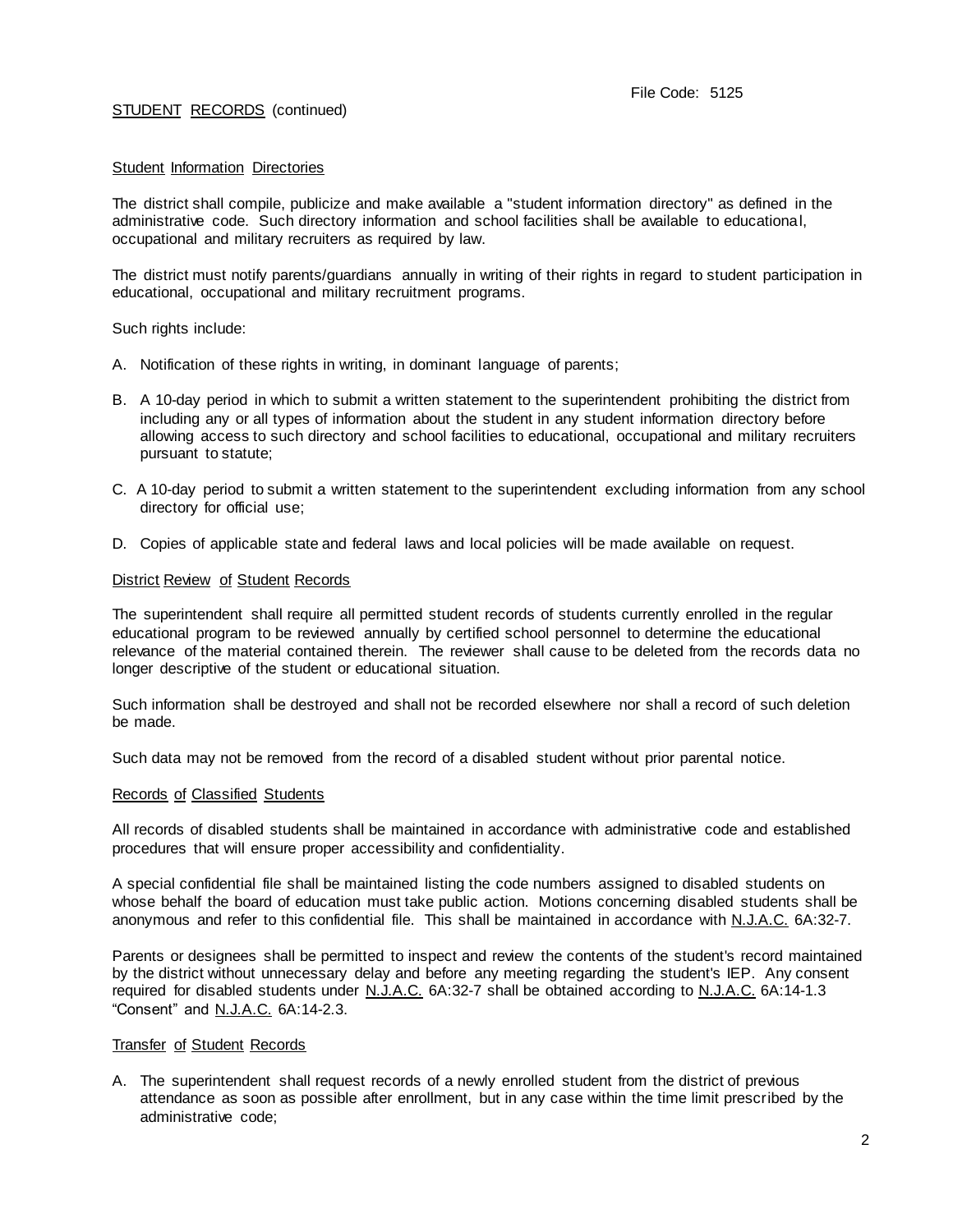### Student Information Directories

The district shall compile, publicize and make available a "student information directory" as defined in the administrative code. Such directory information and school facilities shall be available to educational, occupational and military recruiters as required by law.

The district must notify parents/guardians annually in writing of their rights in regard to student participation in educational, occupational and military recruitment programs.

Such rights include:

- A. Notification of these rights in writing, in dominant language of parents;
- B. A 10-day period in which to submit a written statement to the superintendent prohibiting the district from including any or all types of information about the student in any student information directory before allowing access to such directory and school facilities to educational, occupational and military recruiters pursuant to statute;
- C. A 10-day period to submit a written statement to the superintendent excluding information from any school directory for official use;
- D. Copies of applicable state and federal laws and local policies will be made available on request.

#### District Review of Student Records

The superintendent shall require all permitted student records of students currently enrolled in the regular educational program to be reviewed annually by certified school personnel to determine the educational relevance of the material contained therein. The reviewer shall cause to be deleted from the records data no longer descriptive of the student or educational situation.

Such information shall be destroyed and shall not be recorded elsewhere nor shall a record of such deletion be made.

Such data may not be removed from the record of a disabled student without prior parental notice.

#### Records of Classified Students

All records of disabled students shall be maintained in accordance with administrative code and established procedures that will ensure proper accessibility and confidentiality.

A special confidential file shall be maintained listing the code numbers assigned to disabled students on whose behalf the board of education must take public action. Motions concerning disabled students shall be anonymous and refer to this confidential file. This shall be maintained in accordance with N.J.A.C. 6A:32-7.

Parents or designees shall be permitted to inspect and review the contents of the student's record maintained by the district without unnecessary delay and before any meeting regarding the student's IEP. Any consent required for disabled students under N.J.A.C. 6A:32-7 shall be obtained according to N.J.A.C. 6A:14-1.3 "Consent" and N.J.A.C. 6A:14-2.3.

### Transfer of Student Records

A. The superintendent shall request records of a newly enrolled student from the district of previous attendance as soon as possible after enrollment, but in any case within the time limit prescribed by the administrative code;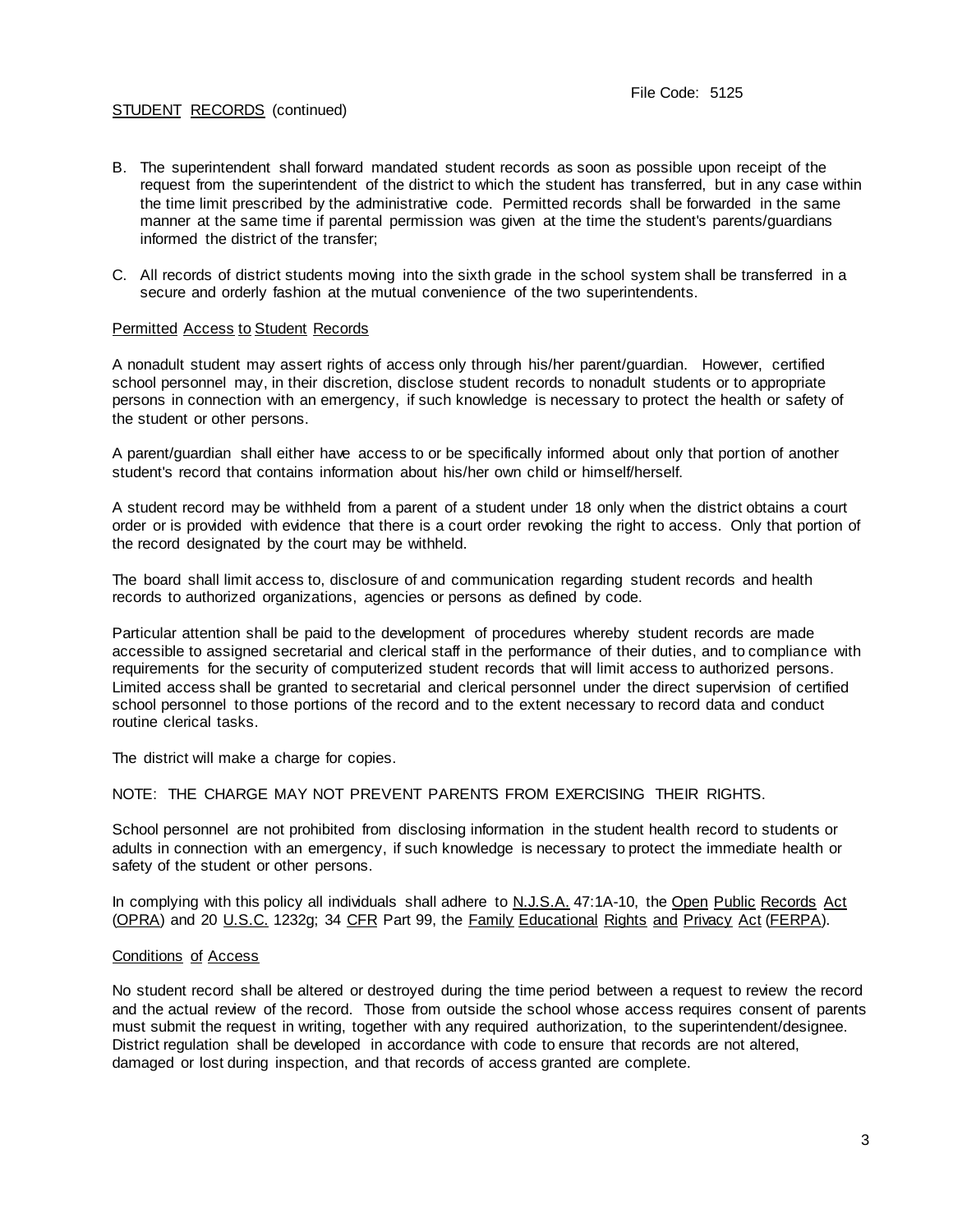- B. The superintendent shall forward mandated student records as soon as possible upon receipt of the request from the superintendent of the district to which the student has transferred, but in any case within the time limit prescribed by the administrative code. Permitted records shall be forwarded in the same manner at the same time if parental permission was given at the time the student's parents/guardians informed the district of the transfer;
- C. All records of district students moving into the sixth grade in the school system shall be transferred in a secure and orderly fashion at the mutual convenience of the two superintendents.

### Permitted Access to Student Records

A nonadult student may assert rights of access only through his/her parent/guardian. However, certified school personnel may, in their discretion, disclose student records to nonadult students or to appropriate persons in connection with an emergency, if such knowledge is necessary to protect the health or safety of the student or other persons.

A parent/guardian shall either have access to or be specifically informed about only that portion of another student's record that contains information about his/her own child or himself/herself.

A student record may be withheld from a parent of a student under 18 only when the district obtains a court order or is provided with evidence that there is a court order revoking the right to access. Only that portion of the record designated by the court may be withheld.

The board shall limit access to, disclosure of and communication regarding student records and health records to authorized organizations, agencies or persons as defined by code.

Particular attention shall be paid to the development of procedures whereby student records are made accessible to assigned secretarial and clerical staff in the performance of their duties, and to compliance with requirements for the security of computerized student records that will limit access to authorized persons. Limited access shall be granted to secretarial and clerical personnel under the direct supervision of certified school personnel to those portions of the record and to the extent necessary to record data and conduct routine clerical tasks.

The district will make a charge for copies.

## NOTE: THE CHARGE MAY NOT PREVENT PARENTS FROM EXERCISING THEIR RIGHTS.

School personnel are not prohibited from disclosing information in the student health record to students or adults in connection with an emergency, if such knowledge is necessary to protect the immediate health or safety of the student or other persons.

In complying with this policy all individuals shall adhere to N.J.S.A. 47:1A-10, the Open Public Records Act (OPRA) and 20 U.S.C. 1232g; 34 CFR Part 99, the Family Educational Rights and Privacy Act (FERPA).

#### Conditions of Access

No student record shall be altered or destroyed during the time period between a request to review the record and the actual review of the record. Those from outside the school whose access requires consent of parents must submit the request in writing, together with any required authorization, to the superintendent/designee. District regulation shall be developed in accordance with code to ensure that records are not altered, damaged or lost during inspection, and that records of access granted are complete.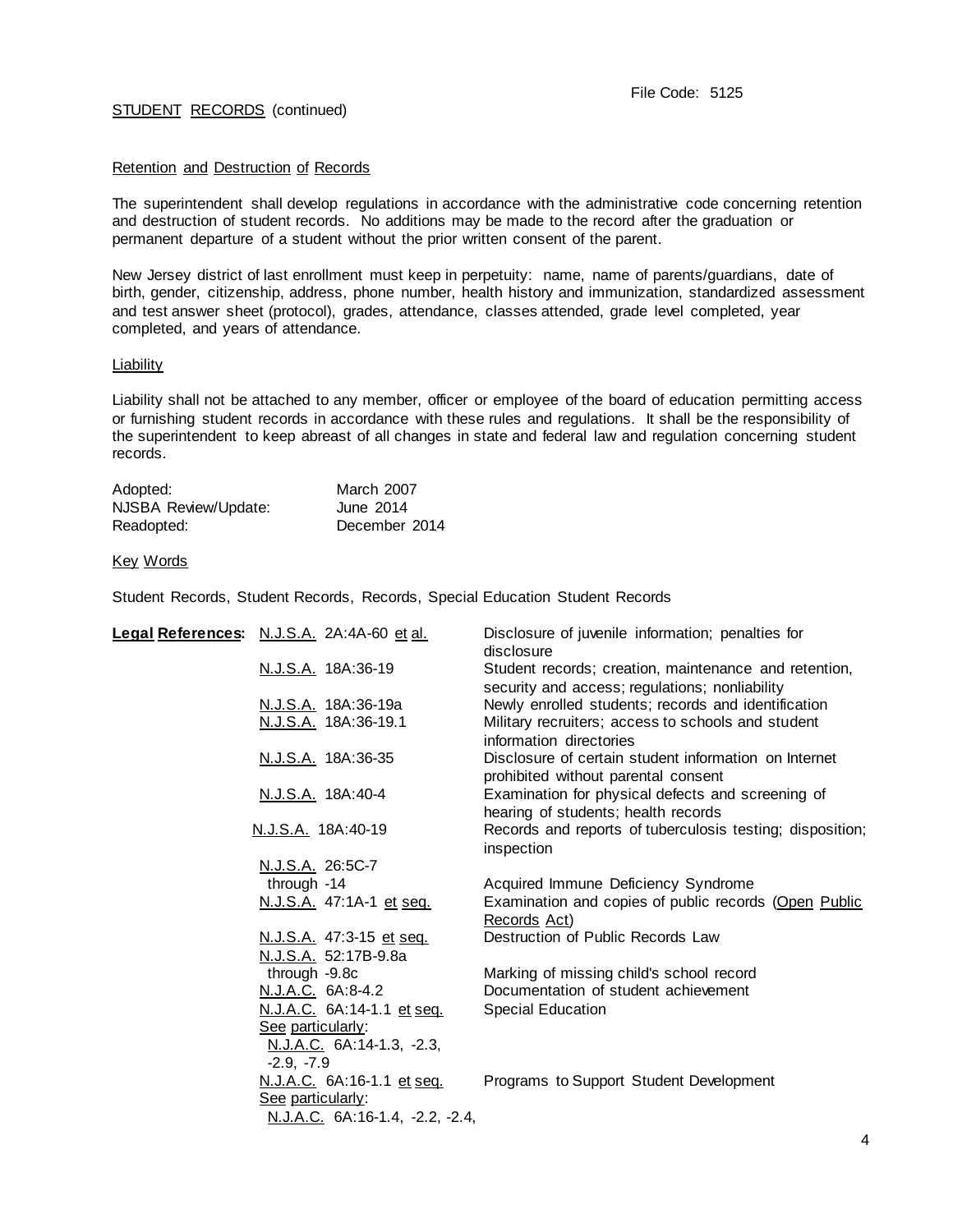### Retention and Destruction of Records

The superintendent shall develop regulations in accordance with the administrative code concerning retention and destruction of student records. No additions may be made to the record after the graduation or permanent departure of a student without the prior written consent of the parent.

New Jersey district of last enrollment must keep in perpetuity: name, name of parents/guardians, date of birth, gender, citizenship, address, phone number, health history and immunization, standardized assessment and test answer sheet (protocol), grades, attendance, classes attended, grade level completed, year completed, and years of attendance.

### Liability

Liability shall not be attached to any member, officer or employee of the board of education permitting access or furnishing student records in accordance with these rules and regulations. It shall be the responsibility of the superintendent to keep abreast of all changes in state and federal law and regulation concerning student records.

| Adopted:             | March 2007    |
|----------------------|---------------|
| NJSBA Review/Update: | June 2014     |
| Readopted:           | December 2014 |

### Key Words

Student Records, Student Records, Records, Special Education Student Records

| Legal References: N.J.S.A. 2A:4A-60 et al. | Disclosure of juvenile information; penalties for<br>disclosure                                         |
|--------------------------------------------|---------------------------------------------------------------------------------------------------------|
| N.J.S.A. 18A:36-19                         | Student records; creation, maintenance and retention,<br>security and access; regulations; nonliability |
| N.J.S.A. 18A:36-19a                        | Newly enrolled students; records and identification                                                     |
| N.J.S.A. 18A:36-19.1                       | Military recruiters; access to schools and student                                                      |
|                                            | information directories                                                                                 |
| N.J.S.A. 18A:36-35                         | Disclosure of certain student information on Internet<br>prohibited without parental consent            |
| N.J.S.A. 18A:40-4                          | Examination for physical defects and screening of<br>hearing of students; health records                |
| N.J.S.A. 18A:40-19                         | Records and reports of tuberculosis testing; disposition;<br>inspection                                 |
| N.J.S.A. 26:5C-7                           |                                                                                                         |
| through -14                                | Acquired Immune Deficiency Syndrome                                                                     |
| N.J.S.A. 47:1A-1 et seq.                   | Examination and copies of public records (Open Public                                                   |
|                                            | Records Act)                                                                                            |
| N.J.S.A. 47:3-15 et seq.                   | Destruction of Public Records Law                                                                       |
| N.J.S.A. 52:17B-9.8a                       |                                                                                                         |
| through -9.8c                              | Marking of missing child's school record                                                                |
| N.J.A.C. 6A:8-4.2                          | Documentation of student achievement                                                                    |
| N.J.A.C. 6A:14-1.1 et seq.                 | <b>Special Education</b>                                                                                |
| See particularly:                          |                                                                                                         |
| N.J.A.C. 6A:14-1.3, -2.3,                  |                                                                                                         |
| $-2.9, -7.9$                               |                                                                                                         |
| N.J.A.C. 6A:16-1.1 et seq.                 | Programs to Support Student Development                                                                 |
| See particularly:                          |                                                                                                         |
| N.J.A.C. 6A:16-1.4, -2.2, -2.4,            |                                                                                                         |